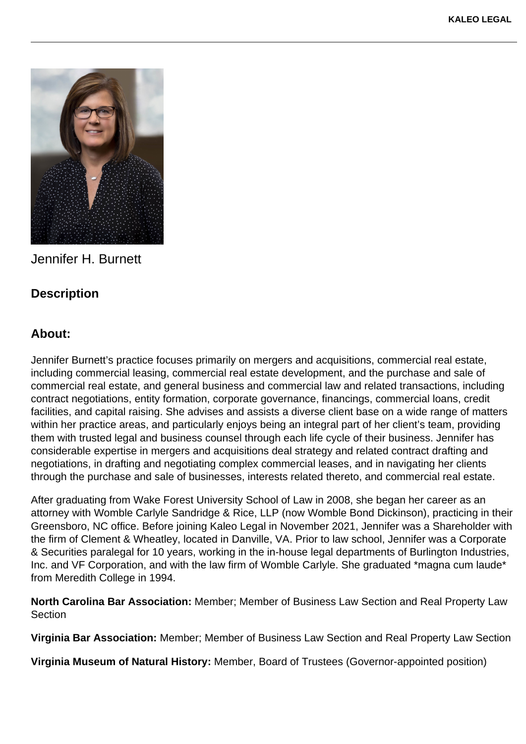

Jennifer H. Burnett

## **Description**

## **About:**

Jennifer Burnett's practice focuses primarily on mergers and acquisitions, commercial real estate, including commercial leasing, commercial real estate development, and the purchase and sale of commercial real estate, and general business and commercial law and related transactions, including contract negotiations, entity formation, corporate governance, financings, commercial loans, credit facilities, and capital raising. She advises and assists a diverse client base on a wide range of matters within her practice areas, and particularly enjoys being an integral part of her client's team, providing them with trusted legal and business counsel through each life cycle of their business. Jennifer has considerable expertise in mergers and acquisitions deal strategy and related contract drafting and negotiations, in drafting and negotiating complex commercial leases, and in navigating her clients through the purchase and sale of businesses, interests related thereto, and commercial real estate.

After graduating from Wake Forest University School of Law in 2008, she began her career as an attorney with Womble Carlyle Sandridge & Rice, LLP (now Womble Bond Dickinson), practicing in their Greensboro, NC office. Before joining Kaleo Legal in November 2021, Jennifer was a Shareholder with the firm of Clement & Wheatley, located in Danville, VA. Prior to law school, Jennifer was a Corporate & Securities paralegal for 10 years, working in the in-house legal departments of Burlington Industries, Inc. and VF Corporation, and with the law firm of Womble Carlyle. She graduated \*magna cum laude\* from Meredith College in 1994.

**North Carolina Bar Association:** Member; Member of Business Law Section and Real Property Law **Section** 

**Virginia Bar Association:** Member; Member of Business Law Section and Real Property Law Section

**Virginia Museum of Natural History:** Member, Board of Trustees (Governor-appointed position)